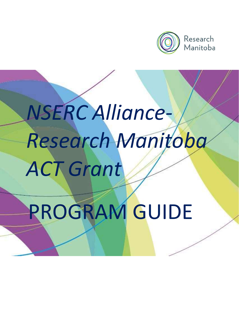

Research Manitoba

# NSERC Alliance-Research Manitoba ACT Grant

# PROGRAM GUIDE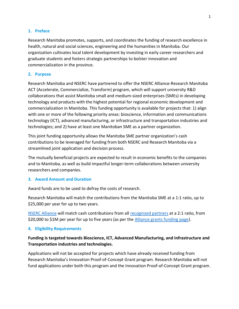# 1. Preface

Research Manitoba promotes, supports, and coordinates the funding of research excellence in health, natural and social sciences, engineering and the humanities in Manitoba. Our organization cultivates local talent development by investing in early career researchers and graduate students and fosters strategic partnerships to bolster innovation and commercialization in the province.

# 2. Purpose

Research Manitoba and NSERC have partnered to offer the NSERC Alliance-Research Manitoba ACT (Accelerate, Commercialize, Transform) program, which will support university R&D collaborations that assist Manitoba small and medium-sized enterprises (SMEs) in developing technology and products with the highest potential for regional economic development and commercialization in Manitoba. This funding opportunity is available for projects that: 1) align with one or more of the following priority areas: bioscience, information and communications technology (ICT), advanced manufacturing, or infrastructure and transportation industries and technologies; and 2) have at least one Manitoban SME as a partner organization.

This joint funding opportunity allows the Manitoba SME partner organization's cash contributions to be leveraged for funding from both NSERC and Research Manitoba via a streamlined joint application and decision process.

The mutually beneficial projects are expected to result in economic benefits to the companies and to Manitoba, as well as build impactful longer-term collaborations between university researchers and companies.

# 3. Award Amount and Duration

Award funds are to be used to defray the costs of research.

Research Manitoba will match the contributions from the Manitoba SME at a 1:1 ratio, up to \$25,000 per year for up to two years.

NSERC Alliance will match cash contributions from all recognized partners at a 2:1 ratio, from \$20,000 to \$1M per year for up to five years (as per the Alliance grants funding page).

# 4. Eligibility Requirements

# Funding is targeted towards Bioscience, ICT, Advanced Manufacturing, and Infrastructure and Transportation industries and technologies.

Applications will not be accepted for projects which have already received funding from Research Manitoba's Innovation Proof-of-Concept Grant program. Research Manitoba will not fund applications under both this program and the Innovation Proof-of-Concept Grant program.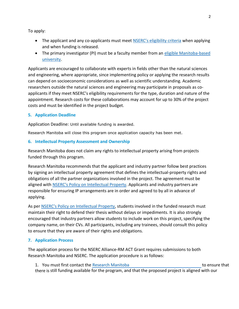To apply:

- The applicant and any co-applicants must meet NSERC's eligibility criteria when applying and when funding is released.
- The primary investigator (PI) must be a faculty member from an eligible Manitoba-based university.

Applicants are encouraged to collaborate with experts in fields other than the natural sciences and engineering, where appropriate, since implementing policy or applying the research results can depend on socioeconomic considerations as well as scientific understanding. Academic researchers outside the natural sciences and engineering may participate in proposals as coapplicants if they meet NSERC's eligibility requirements for the type, duration and nature of the appointment. Research costs for these collaborations may account for up to 30% of the project costs and must be identified in the project budget.

# 5. Application Deadline

Application Deadline: Until available funding is awarded.

Research Manitoba will close this program once application capacity has been met.

# 6. Intellectual Property Assessment and Ownership

Research Manitoba does not claim any rights to intellectual property arising from projects funded through this program.

Research Manitoba recommends that the applicant and industry partner follow best practices by signing an intellectual property agreement that defines the intellectual-property rights and obligations of all the partner organizations involved in the project. The agreement must be aligned with NSERC's Policy on Intellectual Property. Applicants and industry partners are responsible for ensuring IP arrangements are in order and agreed to by all in advance of applying.

As per NSERC's Policy on Intellectual Property, students involved in the funded research must maintain their right to defend their thesis without delays or impediments. It is also strongly encouraged that industry partners allow students to include work on this project, specifying the company name, on their CVs. All participants, including any trainees, should consult this policy to ensure that they are aware of their rights and obligations.

# 7. Application Process

The application process for the NSERC Alliance-RM ACT Grant requires submissions to both Research Manitoba and NSERC. The application procedure is as follows:

1. You must first contact the Research Manitoba Manager, Programs and Partnerships to ensure that there is still funding available for the program, and that the proposed project is aligned with our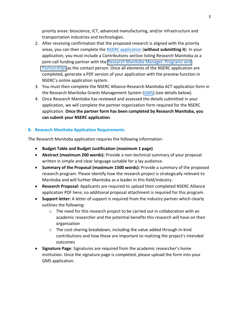priority areas: bioscience, ICT, advanced manufacturing, and/or infrastructure and transportation industries and technologies.

- 2. After receiving confirmation that the proposed research is aligned with the priority areas, you can then complete the NSERC application (without submitting it). In your application, you must include a Contributions section listing Research Manitoba as a joint-call funding partner with the Research Manitoba [Manager, Programs and](kerry.harris@researchmb.ca)  [Partnerships](kerry.harris@researchmb.ca) as the contact person. Once all elements of the NSERC application are completed, generate a PDF version of your application with the preview function in NSERC's online application system.
- 3. You must then complete the NSERC Alliance-Research Manitoba ACT application form in the Research Manitoba Grants Management System (GMS) (see details below).
- 4. Once Research Manitoba has reviewed and assessed the details submitted in your application, we will complete the partner organization form required for the NSERC application. Once the partner form has been completed by Research Manitoba, you can submit your NSERC application.

# 8. Research Manitoba Application Requirements

The Research Manitoba application requires the following information:

- Budget Table and Budget Justification (maximum 1 page)
- Abstract (maximum 200 words): Provide a non-technical summary of your proposal written in simple and clear language suitable for a lay audience.
- Summary of the Proposal (maximum 1500 words): Provide a summary of the proposed research program. Please identify how the research project is strategically relevant to Manitoba and will further Manitoba as a leader in this field/industry.
- Research Proposal: Applicants are required to upload their completed NSERC Alliance application PDF here; no additional proposal attachment is required for this program.
- Support letter: A letter of support is required from the industry partner which clearly outlines the following:
	- $\circ$  The need for this research project to be carried out in collaboration with an academic researcher and the potential benefits this research will have on their organization
	- o The cost-sharing breakdown, including the value added through in-kind contributions and how these are important to realizing the project's intended outcomes
- Signature Page: Signatures are required from the academic researcher's home institution. Once the signature page is completed, please upload the form into your GMS application.